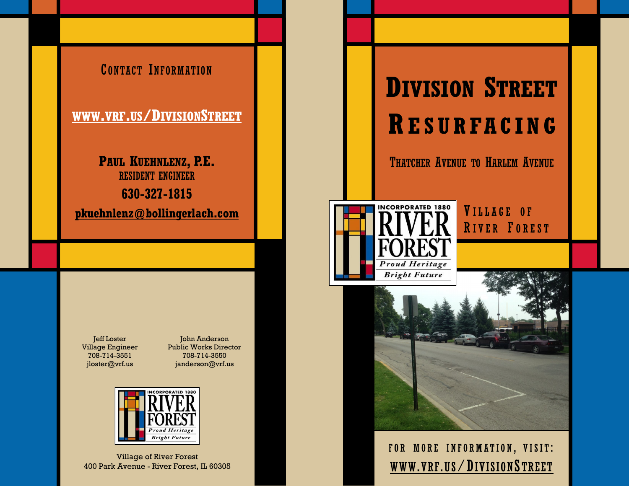

Jeff Loster Village Engineer 708-714-3551 [jloster@vrf.us](mailto:jloster@vrf.us)

John Anderson Public Works Director 708-714-3550 [janderson@vrf.us](mailto:janderson@vrf.us)



Village of River Forest 400 Park Avenue - River Forest, IL 60305

# **DIVISION STREET R ESURFACIN G**

THATCHER AVENUE TO HARLEM AVENUE



VILLAGE OF RIVER FOREST



FOR MORE INFORMATION, VISIT: WWW.VRF.US/D[IVISION](http://www.vrf.us/residents/capital-projects/division-street-resurfacing)S TREET